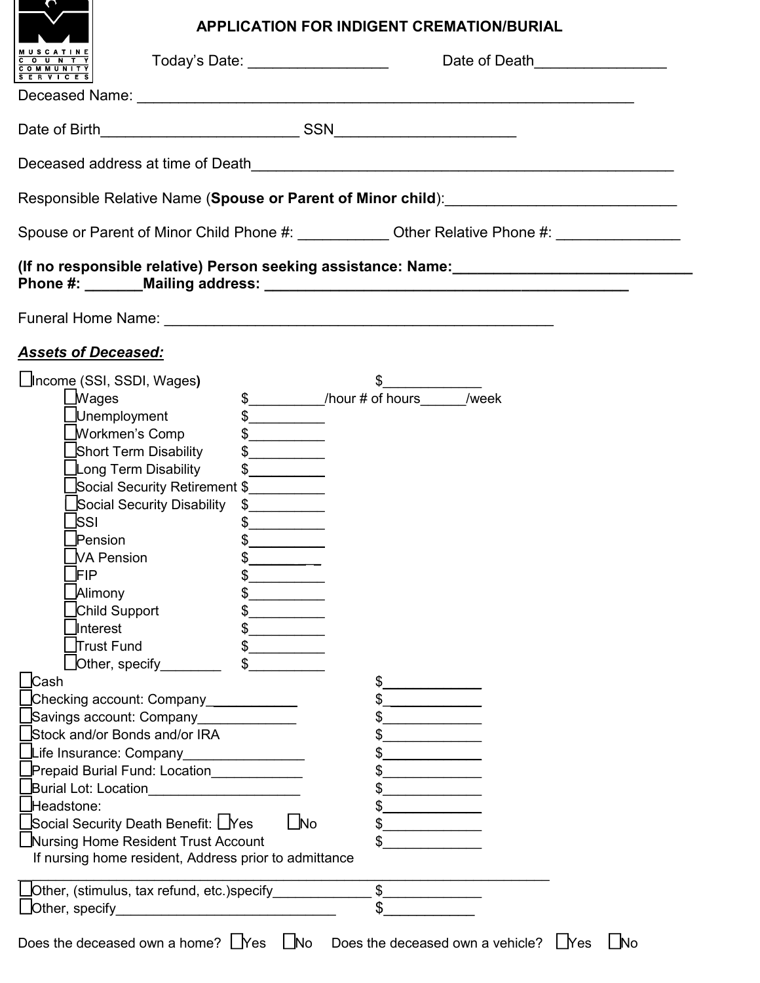# **APPLICATION FOR INDIGENT CREMATION/BURIAL**

| ⇔                                                                                     |                                                                                                                                                                                                                                                                                                                                                     | <b>APPLICATION FOR INDIGENT CREMATION/BURIAL</b>                                                    |           |  |  |
|---------------------------------------------------------------------------------------|-----------------------------------------------------------------------------------------------------------------------------------------------------------------------------------------------------------------------------------------------------------------------------------------------------------------------------------------------------|-----------------------------------------------------------------------------------------------------|-----------|--|--|
| Today's Date: ___________________<br>O U N T Y<br><b>COMMUNITY</b><br>S E R V I C E S |                                                                                                                                                                                                                                                                                                                                                     | Date of Death <b>Date of Death</b>                                                                  |           |  |  |
|                                                                                       |                                                                                                                                                                                                                                                                                                                                                     |                                                                                                     |           |  |  |
|                                                                                       |                                                                                                                                                                                                                                                                                                                                                     |                                                                                                     |           |  |  |
|                                                                                       |                                                                                                                                                                                                                                                                                                                                                     |                                                                                                     |           |  |  |
|                                                                                       |                                                                                                                                                                                                                                                                                                                                                     |                                                                                                     |           |  |  |
|                                                                                       |                                                                                                                                                                                                                                                                                                                                                     | Spouse or Parent of Minor Child Phone #: _____________ Other Relative Phone #: ____________________ |           |  |  |
|                                                                                       |                                                                                                                                                                                                                                                                                                                                                     |                                                                                                     |           |  |  |
|                                                                                       |                                                                                                                                                                                                                                                                                                                                                     |                                                                                                     |           |  |  |
| <b>Assets of Deceased:</b>                                                            |                                                                                                                                                                                                                                                                                                                                                     |                                                                                                     |           |  |  |
| ∐Income (SSI, SSDI, Wages)                                                            |                                                                                                                                                                                                                                                                                                                                                     | $\frac{1}{\sqrt{2}}$                                                                                |           |  |  |
| $\bigsqcup$ Wages                                                                     |                                                                                                                                                                                                                                                                                                                                                     | \$___________/hour # of hours______/week                                                            |           |  |  |
| _Unemployment                                                                         | <u> 1989 - Jan Stein Stein Stein Stein Stein Stein Stein Stein Stein Stein Stein Stein Stein Stein Stein Stein Stein Stein Stein Stein Stein Stein Stein Stein Stein Stein Stein Stein Stein Stein Stein Stein Stein Stein Stein</u>                                                                                                                |                                                                                                     |           |  |  |
| <b>Workmen's Comp</b>                                                                 | $\begin{picture}(20,20) \put(0,0){\line(1,0){10}} \put(15,0){\line(1,0){10}} \put(15,0){\line(1,0){10}} \put(15,0){\line(1,0){10}} \put(15,0){\line(1,0){10}} \put(15,0){\line(1,0){10}} \put(15,0){\line(1,0){10}} \put(15,0){\line(1,0){10}} \put(15,0){\line(1,0){10}} \put(15,0){\line(1,0){10}} \put(15,0){\line(1,0){10}} \put(15,0){\line(1$ |                                                                                                     |           |  |  |
| Short Term Disability                                                                 | $\begin{picture}(20,20) \put(0,0){\line(1,0){10}} \put(15,0){\line(1,0){10}} \put(15,0){\line(1,0){10}} \put(15,0){\line(1,0){10}} \put(15,0){\line(1,0){10}} \put(15,0){\line(1,0){10}} \put(15,0){\line(1,0){10}} \put(15,0){\line(1,0){10}} \put(15,0){\line(1,0){10}} \put(15,0){\line(1,0){10}} \put(15,0){\line(1,0){10}} \put(15,0){\line(1$ |                                                                                                     |           |  |  |
| Long Term Disability                                                                  | $\frac{1}{2}$                                                                                                                                                                                                                                                                                                                                       |                                                                                                     |           |  |  |
|                                                                                       | Social Security Retirement \$__________                                                                                                                                                                                                                                                                                                             |                                                                                                     |           |  |  |
| Social Security Disability                                                            | $\frac{1}{2}$                                                                                                                                                                                                                                                                                                                                       |                                                                                                     |           |  |  |
| <b>SSI</b>                                                                            | $\frac{1}{2}$                                                                                                                                                                                                                                                                                                                                       |                                                                                                     |           |  |  |
| Pension                                                                               | $\frac{1}{2}$                                                                                                                                                                                                                                                                                                                                       |                                                                                                     |           |  |  |
| <b>VA Pension</b>                                                                     | \$                                                                                                                                                                                                                                                                                                                                                  |                                                                                                     |           |  |  |
| FIP                                                                                   | \$                                                                                                                                                                                                                                                                                                                                                  |                                                                                                     |           |  |  |
| Alimony                                                                               |                                                                                                                                                                                                                                                                                                                                                     |                                                                                                     |           |  |  |
| Child Support                                                                         |                                                                                                                                                                                                                                                                                                                                                     |                                                                                                     |           |  |  |
| Interest                                                                              |                                                                                                                                                                                                                                                                                                                                                     |                                                                                                     |           |  |  |
| ∏rust Fund                                                                            |                                                                                                                                                                                                                                                                                                                                                     |                                                                                                     |           |  |  |
| Other, specify                                                                        |                                                                                                                                                                                                                                                                                                                                                     |                                                                                                     |           |  |  |
| $\lfloor$ Cash                                                                        |                                                                                                                                                                                                                                                                                                                                                     | \$_                                                                                                 |           |  |  |
| Checking account: Company___________                                                  |                                                                                                                                                                                                                                                                                                                                                     |                                                                                                     |           |  |  |
| Savings account: Company_                                                             |                                                                                                                                                                                                                                                                                                                                                     |                                                                                                     |           |  |  |
| Stock and/or Bonds and/or IRA                                                         |                                                                                                                                                                                                                                                                                                                                                     |                                                                                                     |           |  |  |
| _Life Insurance: Company_                                                             |                                                                                                                                                                                                                                                                                                                                                     | the control of the control of the<br>$\frac{1}{2}$                                                  |           |  |  |
| Prepaid Burial Fund: Location____________                                             |                                                                                                                                                                                                                                                                                                                                                     |                                                                                                     |           |  |  |
|                                                                                       |                                                                                                                                                                                                                                                                                                                                                     | \$                                                                                                  |           |  |  |
| Headstone:                                                                            |                                                                                                                                                                                                                                                                                                                                                     | <u> 1980 - Johann Barbara, martin a</u><br>$\frac{1}{\sqrt{2}}$                                     |           |  |  |
| _Social Security Death Benefit: L_Yes                                                 | $\Box$ No                                                                                                                                                                                                                                                                                                                                           |                                                                                                     |           |  |  |
| $\frac{1}{2}$<br>□Nursing Home Resident Trust Account                                 |                                                                                                                                                                                                                                                                                                                                                     |                                                                                                     |           |  |  |
| If nursing home resident, Address prior to admittance                                 |                                                                                                                                                                                                                                                                                                                                                     |                                                                                                     |           |  |  |
|                                                                                       | $\overline{\text{S}}$<br>_Other, (stimulus, tax refund, etc.)specify______________                                                                                                                                                                                                                                                                  |                                                                                                     |           |  |  |
| $\Box$ Other, specify $\Box$                                                          |                                                                                                                                                                                                                                                                                                                                                     | \$                                                                                                  |           |  |  |
|                                                                                       |                                                                                                                                                                                                                                                                                                                                                     | Does the deceased own a home? $\Box$ Yes $\Box$ No Does the deceased own a vehicle? $\Box$ Yes      | $\Box$ No |  |  |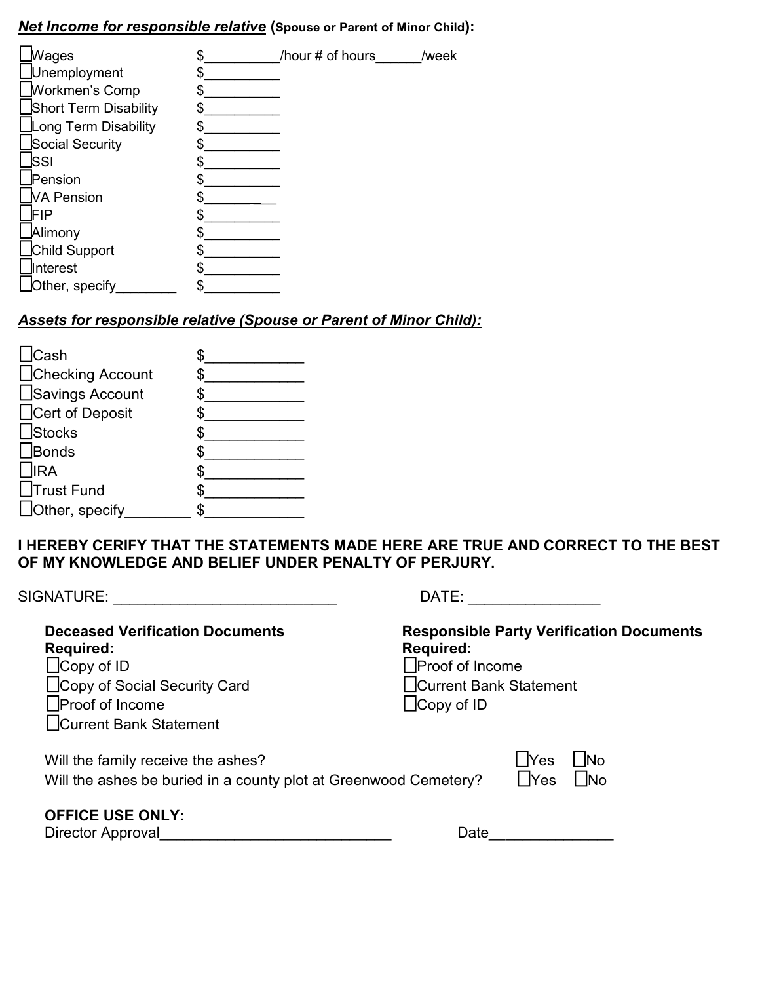## *Net Income for responsible relative* **(Spouse or Parent of Minor Child):**

| Wages                 | /hour # of hours | /week |
|-----------------------|------------------|-------|
| Unemployment          |                  |       |
| <b>Workmen's Comp</b> |                  |       |
| Short Term Disability |                  |       |
| Long Term Disability  |                  |       |
| Social Security       |                  |       |
| lSSI                  |                  |       |
| Pension               |                  |       |
| <b>NA Pension</b>     |                  |       |
| FIP                   |                  |       |
| Alimony               |                  |       |
| Child Support         |                  |       |
| Interest              |                  |       |
| Other, specify        |                  |       |

# *Assets for responsible relative (Spouse or Parent of Minor Child):*

| <b>Cash</b>            |  |
|------------------------|--|
| □Checking Account      |  |
| $\Box$ Savings Account |  |
| □Cert of Deposit       |  |
| $\Box$ Stocks          |  |
| $\Box$ Bonds           |  |
| $\Box$ IRA             |  |
| □Trust Fund            |  |
| □Other, specify        |  |

**I HEREBY CERIFY THAT THE STATEMENTS MADE HERE ARE TRUE AND CORRECT TO THE BEST OF MY KNOWLEDGE AND BELIEF UNDER PENALTY OF PERJURY.**

| SIGNATURE:                                                                                                                                                                  | DATE:                                                                                                                                        |
|-----------------------------------------------------------------------------------------------------------------------------------------------------------------------------|----------------------------------------------------------------------------------------------------------------------------------------------|
| <b>Deceased Verification Documents</b><br><b>Required:</b><br>$\Box$ Copy of ID<br>∐Copy of Social Security Card<br><b>Proof of Income</b><br><b>Current Bank Statement</b> | <b>Responsible Party Verification Documents</b><br><b>Required:</b><br><b>Proof of Income</b><br>Current Bank Statement<br>$\Box$ Copy of ID |
| Will the family receive the ashes?<br>Will the ashes be buried in a county plot at Greenwood Cemetery?                                                                      | <b>Yes</b><br>- INo<br>∫ lYes<br>- INo                                                                                                       |
| <b>OFFICE USE ONLY:</b><br>Director Approval                                                                                                                                | Date                                                                                                                                         |